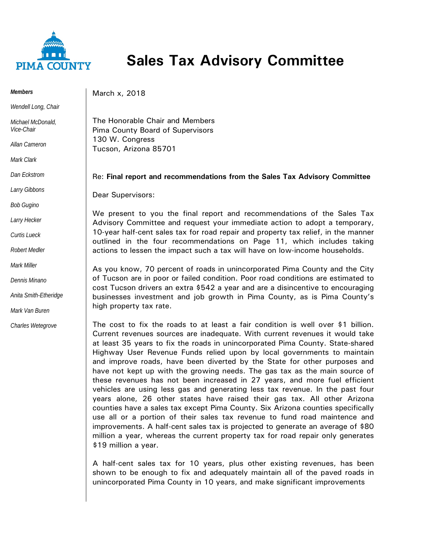

## **Sales Tax Advisory Committee**

*Members*

*Wendell Long, Chair*

*Michael McDonald, Vice-Chair*

*Allan Cameron*

*Mark Clark*

*Dan Eckstrom*

*Larry Gibbons*

*Bob Gugino*

*Larry Hecker*

*Curtis Lueck*

*Robert Medler*

*Mark Miller*

*Dennis Minano*

*Anita Smith-Etheridge*

*Mark Van Buren*

*Charles Wetegrove*

March x, 2018

The Honorable Chair and Members Pima County Board of Supervisors 130 W. Congress Tucson, Arizona 85701

## Re: **Final report and recommendations from the Sales Tax Advisory Committee**

Dear Supervisors:

We present to you the final report and recommendations of the Sales Tax Advisory Committee and request your immediate action to adopt a temporary, 10-year half-cent sales tax for road repair and property tax relief, in the manner outlined in the four recommendations on Page 11, which includes taking actions to lessen the impact such a tax will have on low-income households.

As you know, 70 percent of roads in unincorporated Pima County and the City of Tucson are in poor or failed condition. Poor road conditions are estimated to cost Tucson drivers an extra \$542 a year and are a disincentive to encouraging businesses investment and job growth in Pima County, as is Pima County's high property tax rate.

The cost to fix the roads to at least a fair condition is well over \$1 billion. Current revenues sources are inadequate. With current revenues it would take at least 35 years to fix the roads in unincorporated Pima County. State-shared Highway User Revenue Funds relied upon by local governments to maintain and improve roads, have been diverted by the State for other purposes and have not kept up with the growing needs. The gas tax as the main source of these revenues has not been increased in 27 years, and more fuel efficient vehicles are using less gas and generating less tax revenue. In the past four years alone, 26 other states have raised their gas tax. All other Arizona counties have a sales tax except Pima County. Six Arizona counties specifically use all or a portion of their sales tax revenue to fund road maintence and improvements. A half-cent sales tax is projected to generate an average of \$80 million a year, whereas the current property tax for road repair only generates \$19 million a year.

A half-cent sales tax for 10 years, plus other existing revenues, has been shown to be enough to fix and adequately maintain all of the paved roads in unincorporated Pima County in 10 years, and make significant improvements